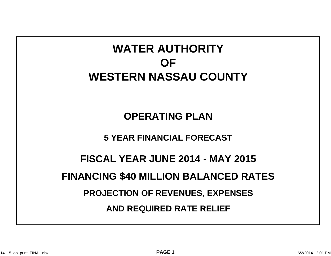## **WATER AUTHORITYOFWESTERN NASSAU COUNTY**

**OPERATING PLAN**

**5 YEAR FINANCIAL FORECAST**

**FISCAL YEAR JUNE 2014 - MAY 2015**

**FINANCING \$40 MILLION BALANCED RATES**

**PROJECTION OF REVENUES, EXPENSES**

**AND REQUIRED RATE RELIEF**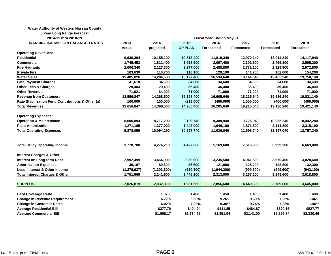## **Water Authority of Western Nassau County**

**5 Year Long Range Forecast**

| 2014-15 thru 2018-19                              | <b>Fiscal Year Ending May 31</b> |             |                |             |            |            |                   |
|---------------------------------------------------|----------------------------------|-------------|----------------|-------------|------------|------------|-------------------|
| <b>FINANCING \$40 MILLION BALANCED RATES</b>      | 2013                             | 2014        | 2015           | 2016        | 2017       | 2018       | 2019              |
|                                                   | <b>Actual</b>                    | projected   | <b>OP PLAN</b> | Forecasted  | Forecasted | Forecasted | <b>Forecasted</b> |
| <b>Operating Revenues:</b>                        |                                  |             |                |             |            |            |                   |
| <b>Residential</b>                                | 9,630,394                        | 10,155,100  | 10,813,400     | 11,819,340  | 12,970,140 | 13,914,240 | 14,117,940        |
| Commercial                                        | 1,745,453                        | 1,811,400   | 1,918,900      | 2,097,400   | 2,301,600  | 2,469,100  | 2,505,200         |
| <b>Fire Hydrants</b>                              | 2,006,340                        | 2,127,300   | 2,277,000      | 2,488,800   | 2,731,100  | 2,929,900  | 2,972,800         |
| <b>Private Fire</b>                               | 103,639                          | 110,700     | 118,100        | 129,100     | 141,700    | 152,000    | 154,200           |
| <b>Water Sales</b>                                | 13,485,826                       | 14,204,500  | 15,127,400     | 16,534,640  | 18,144,540 | 19,465,240 | 19,750,140        |
| <b>Late Payment Charges</b>                       | 41,618                           | 34,600      | 34,600         | 34,600      | 34,600     | 34,600     | 34,600            |
| <b>Other Fees &amp; Charges</b>                   | 29,403                           | 29,400      | 36,400         | 36,400      | 36,400     | 36,400     | 36,400            |
| <b>Other Revenue</b>                              | 71,021                           | 64,000      | 71,000         | 71,000      | 71,000     | 71,000     | 71,000            |
| <b>Revenue from Customers</b>                     | 13,556,847                       | 14,268,500  | 15,198,400     | 16,605,640  | 18,215,540 | 19,536,240 | 19,821,140        |
| Rate Stabilization Fund Contributions & Other (a) | 100,000                          | 100,000     | (213,000)      | (400, 000)  | 1,000,000  | (400,000)  | (400, 000)        |
| <b>Total Revenues</b>                             | 13,656,847                       | 14,368,500  | 14,985,400     | 16,205,640  | 19,215,540 | 19,136,240 | 19,421,140        |
|                                                   |                                  |             |                |             |            |            |                   |
| <b>Operating Expenses:</b>                        |                                  |             |                |             |            |            |                   |
| <b>Operation &amp; Maintenance</b>                | 8,606,894                        | 8,717,290   | 9,109,740      | 9,389,940   | 9,726,940  | 10,085,240 | 10,442,240        |
| <b>Plant Amortization</b>                         | 1,271,165                        | 1,377,000   | 1,448,000      | 1,646,100   | 1,871,800  | 2,111,800  | 2,315,100         |
| <b>Total Operating Expenses</b>                   | 9,878,059                        | 10,094,290  | 10,557,740     | 11,036,040  | 11,598,740 | 12,197,040 | 12,757,340        |
|                                                   |                                  |             |                |             |            |            |                   |
|                                                   |                                  |             |                |             |            |            |                   |
| <b>Total Utility Operating Income</b>             | 3,778,788                        | 4,274,210   | 4,427,660      | 5,169,600   | 7,616,800  | 6,939,200  | 6,663,800         |
|                                                   |                                  |             |                |             |            |            |                   |
| <b>Interest Charges &amp; Other:</b>              |                                  |             |                |             |            |            |                   |
| Interest on Long-term Debt                        | 2,992,499                        | 3,464,900   | 2,939,600      | 3,235,500   | 4,041,500  | 3,970,400  | 3,828,600         |
| <b>Amortization Expenses</b>                      | 39,107                           | 80,800      | 36,600         | 121,800     | 125,200    | 128,800    | 132,300           |
| Less: Interest & Other Income                     | (1, 279, 637)                    | (1,303,800) | (530, 100)     | (1,044,300) | (999, 500) | (949, 600) | (942, 100)        |
| <b>Total Interest Charges &amp; Other</b>         | 1,751,969                        | 2,241,900   | 2,446,100      | 2,313,000   | 3,167,200  | 3,149,600  | 3,018,800         |
|                                                   |                                  |             |                |             |            |            |                   |
| <b>SURPLUS</b>                                    | 2,026,819                        | 2,032,310   | 1,981,560      | 2,856,600   | 4,449,600  | 3,789,600  | 3,645,000         |
|                                                   |                                  |             |                |             |            |            |                   |
| <b>Debt Coverage Ratio</b>                        |                                  | 1.375       | 1.400          | 1.450       | 1.400      | 1.400      | 1.400             |
| <b>Change in Revenue Requirement</b>              |                                  | 6.77%       | 5.50%          | 9.26%       | 9.69%      | 7.25%      | 1.46%             |
| <b>Change in Customer Rates</b>                   |                                  | 6.02%       | 7.00%          | 9.30%       | 9.74%      | 7.28%      | 1.46%             |
| <b>Average Residential Bill</b>                   |                                  | \$377.79    | \$404.24       | \$441.85    | \$484.87   | \$520.16   | \$527.77          |
| <b>Average Commercial Bill</b>                    |                                  | \$1,668.17  | \$1,784.99     | \$1,951.04  | \$2,141.00 | \$2,296.84 | \$2,330.46        |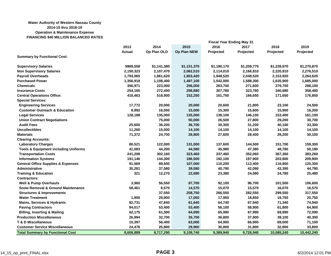## **Water Authority of Western Nassau County 2014-15 thru 2018-19 Operation & Maintenance Expense FINANCING \$40 MILLION BALANCED RATES**

|                                                 | <b>Fiscal Year Ending May 31</b> |             |             |             |             |             |             |
|-------------------------------------------------|----------------------------------|-------------|-------------|-------------|-------------|-------------|-------------|
|                                                 | 2013                             | 2014        | 2015        | 2016        | 2017        | 2018        | 2019        |
|                                                 | <b>Actual</b>                    | Op Plan OLD | Op Plan NEW | Projected   | Projected   | Projected   | Projected   |
| <b>Summary by Functional Cost:</b>              |                                  |             |             |             |             |             |             |
| <b>Supervisory Salaries</b>                     | \$969,558                        | \$1,141,380 | \$1,151,370 | \$1,180,170 | \$1,209,770 | \$1,239,970 | \$1,270,870 |
| <b>Non Supervisory Salaries</b>                 | 2,150,323                        | 2,107,470   | 2,062,510   | 2,114,010   | 2,166,810   | 2,220,910   | 2,276,510   |
| <b>Payroll Overheads</b>                        | 1,793,065                        | 1,861,620   | 1,853,420   | 1,948,520   | 2,048,520   | 2,153,920   | 2,264,620   |
| <b>Purchased Power</b>                          | 1,356,918                        | 1,108,400   | 1,497,100   | 1,542,000   | 1,588,300   | 1,635,900   | 1,685,000   |
| <b>Chemicals</b>                                | 356,971                          | 223,000     | 256,000     | 263,700     | 271,600     | 279,700     | 288,100     |
| <b>Insurance Costs</b>                          | 254,165                          | 272,400     | 298,880     | 307,780     | 323,780     | 340,680     | 358,480     |
| <b>Central Operations Office:</b>               | 416,463                          | 518,900     | 152,250     | 161,750     | 166,650     | 171,650     | 176,850     |
| <b>Special Services:</b>                        |                                  |             |             |             |             |             |             |
| <b>Engineering Services</b>                     | 17,772                           | 20,000      | 20,000      | 20,600      | 21,800      | 23,100      | 24,500      |
| <b>Customer Outreach &amp; Education</b>        | 8,992                            | 16,000      | 15,000      | 15,300      | 15,600      | 15,900      | 16,200      |
| <b>Legal Services</b>                           | 128,188                          | 135,000     | 135,000     | 139,100     | 146,100     | 153,400     | 161,100     |
| <b>Union Contract Negotiations</b>              |                                  | 75,000      | 50,000      | 26,500      | 27,800      | 29,200      | 30,700      |
| <b>Audit Fees</b>                               | 25,600                           | 36,200      | 36,700      | 30,300      | 31,200      | 40,100      | 33,300      |
| <b>Uncollectibles</b>                           | 11,260                           | 15,000      | 14,100      | 14,100      | 14,100      | 14,100      | 14,100      |
| <b>Materials</b>                                | 71,372                           | 24,700      | 26,800      | 27,600      | 28,400      | 29,200      | 30,100      |
| <b>Clearing Accounts:</b>                       |                                  |             |             |             |             |             |             |
| <b>Laboratory Charges</b>                       | 80,521                           | 122,000     | 131,000     | 137,600     | 144,500     | 151,700     | 159,300     |
| <b>Tools &amp; Equipment including Uniforms</b> | 41,083                           | 44,200      | 44,580      | 45,980      | 47,380      | 48,780      | 50,180      |
| <b>Transportation Costs</b>                     | 241,208                          | 302,160     | 323,460     | 337,460     | 352,060     | 367,360     | 383,260     |
| <b>Information Systems</b>                      | 191,146                          | 144,300     | 186,500     | 192,100     | 197,900     | 203,800     | 209,900     |
| <b>General Office Supplies &amp; Expenses</b>   | 91,569                           | 89,500      | 107,000     | 110,200     | 113,400     | 116,800     | 120,300     |
| <b>Administrative</b>                           | 35,281                           | 37,580      | 39,590      | 40,790      | 42,090      | 43,390      | 44,790      |
| <b>Training &amp; Education</b>                 | 321                              | 12,270      | 22,680      | 23,380      | 24,080      | 24,780      | 25,480      |
| <b>Contractors:</b>                             |                                  |             |             |             |             |             |             |
| <b>Well &amp; Pump Overhauls</b>                | 3,960                            | 56,550      | 87,700      | 92,100      | 96,700      | 101,500     | 106,600     |
| <b>Snow Removal &amp; Ground Maintenance</b>    | 58,461                           | 8,570       | 14,570      | 15,070      | 15,570      | 16,070      | 16,570      |
| <b>Structures &amp; Improvements</b>            |                                  | 37,550      | 258,750     | 266,550     | 282,550     | 299,550     | 317,550     |
| <b>Water Treatment</b>                          | 1,900                            | 29,900      | 17,050      | 17,950      | 18,850      | 19,750      | 20,750      |
| <b>Mains, Services &amp; Hydrants</b>           | 82,731                           | 47,840      | 61,640      | 64,740      | 67,940      | 71,340      | 74,940      |
| <b>Paving Contractors</b>                       | 94,017                           | 53,400      | 53,400      | 56,100      | 58,900      | 61,800      | 64,900      |
| <b>Billing, Inserting &amp; Mailing</b>         | 62,175                           | 61,500      | 64,090      | 65,990      | 67,990      | 69,990      | 72,090      |
| <b>Production Miscellaneous</b>                 | 26,994                           | 32,700      | 35,700      | 36,800      | 37,900      | 39,100      | 40,300      |
| <b>T &amp; D Miscellaneous</b>                  | 10,397                           | 56,400      | 63,000      | 64,900      | 66,900      | 69,000      | 71,100      |
| <b>Customer Service Miscellaneous</b>           | 24,478                           | 25,800      | 29,900      | 30,800      | 31,800      | 32,800      | 33,800      |
| <b>Total Summary by Functional Cost</b>         | 8,606,889                        | 8,717,290   | 9,109,740   | 9,389,940   | 9,726,940   | 10,085,240  | 10,442,240  |